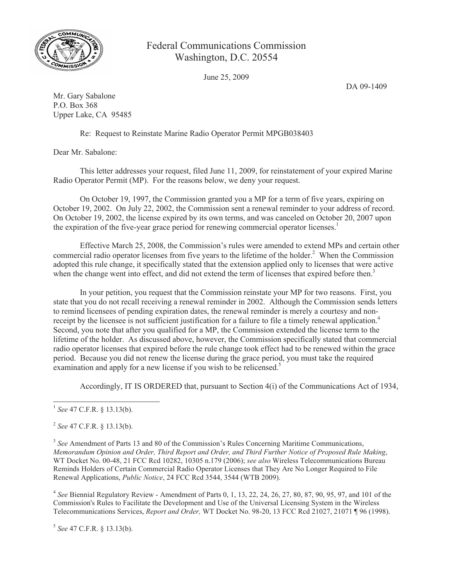

## Federal Communications Commission Washington, D.C. 20554

June 25, 2009

DA 09-1409

Mr. Gary Sabalone P.O. Box 368 Upper Lake, CA 95485

Re: Request to Reinstate Marine Radio Operator Permit MPGB038403

Dear Mr. Sabalone:

This letter addresses your request, filed June 11, 2009, for reinstatement of your expired Marine Radio Operator Permit (MP). For the reasons below, we deny your request.

On October 19, 1997, the Commission granted you a MP for a term of five years, expiring on October 19, 2002. On July 22, 2002, the Commission sent a renewal reminder to your address of record. On October 19, 2002, the license expired by its own terms, and was canceled on October 20, 2007 upon the expiration of the five-year grace period for renewing commercial operator licenses.<sup>1</sup>

Effective March 25, 2008, the Commission's rules were amended to extend MPs and certain other commercial radio operator licenses from five years to the lifetime of the holder.<sup>2</sup> When the Commission adopted this rule change, it specifically stated that the extension applied only to licenses that were active when the change went into effect, and did not extend the term of licenses that expired before then.<sup>3</sup>

In your petition, you request that the Commission reinstate your MP for two reasons. First, you state that you do not recall receiving a renewal reminder in 2002. Although the Commission sends letters to remind licensees of pending expiration dates, the renewal reminder is merely a courtesy and nonreceipt by the licensee is not sufficient justification for a failure to file a timely renewal application.<sup>4</sup> Second, you note that after you qualified for a MP, the Commission extended the license term to the lifetime of the holder. As discussed above, however, the Commission specifically stated that commercial radio operator licenses that expired before the rule change took effect had to be renewed within the grace period. Because you did not renew the license during the grace period, you must take the required examination and apply for a new license if you wish to be relicensed.<sup>5</sup>

Accordingly, IT IS ORDERED that, pursuant to Section 4(i) of the Communications Act of 1934,

2 *See* 47 C.F.R. § 13.13(b).

<sup>3</sup> See Amendment of Parts 13 and 80 of the Commission's Rules Concerning Maritime Communications, *Memorandum Opinion and Order, Third Report and Order, and Third Further Notice of Proposed Rule Making*, WT Docket No. 00-48, 21 FCC Rcd 10282, 10305 n.179 (2006); *see also* Wireless Telecommunications Bureau Reminds Holders of Certain Commercial Radio Operator Licenses that They Are No Longer Required to File Renewal Applications, *Public Notice*, 24 FCC Rcd 3544, 3544 (WTB 2009).

4 *See* Biennial Regulatory Review - Amendment of Parts 0, 1, 13, 22, 24, 26, 27, 80, 87, 90, 95, 97, and 101 of the Commission's Rules to Facilitate the Development and Use of the Universal Licensing System in the Wireless Telecommunications Services, *Report and Order,* WT Docket No. 98-20, 13 FCC Rcd 21027, 21071 ¶ 96 (1998).

5 *See* 47 C.F.R. § 13.13(b).

<sup>1</sup> *See* 47 C.F.R. § 13.13(b).